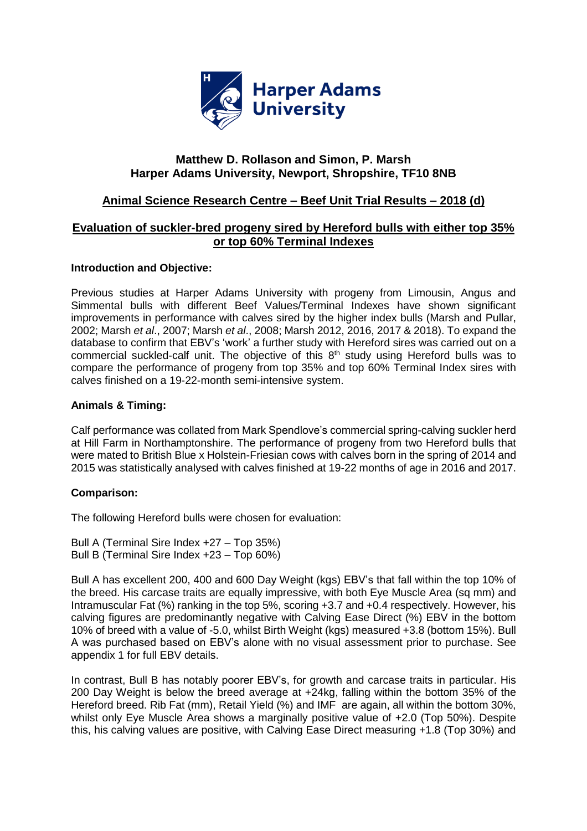

# **Matthew D. Rollason and Simon, P. Marsh Harper Adams University, Newport, Shropshire, TF10 8NB**

# **Animal Science Research Centre – Beef Unit Trial Results – 2018 (d)**

## **Evaluation of suckler-bred progeny sired by Hereford bulls with either top 35% or top 60% Terminal Indexes**

### **Introduction and Objective:**

Previous studies at Harper Adams University with progeny from Limousin, Angus and Simmental bulls with different Beef Values/Terminal Indexes have shown significant improvements in performance with calves sired by the higher index bulls (Marsh and Pullar, 2002; Marsh *et al*., 2007; Marsh *et al*., 2008; Marsh 2012, 2016, 2017 & 2018). To expand the database to confirm that EBV's 'work' a further study with Hereford sires was carried out on a commercial suckled-calf unit. The objective of this 8<sup>th</sup> study using Hereford bulls was to compare the performance of progeny from top 35% and top 60% Terminal Index sires with calves finished on a 19-22-month semi-intensive system.

#### **Animals & Timing:**

Calf performance was collated from Mark Spendlove's commercial spring-calving suckler herd at Hill Farm in Northamptonshire. The performance of progeny from two Hereford bulls that were mated to British Blue x Holstein-Friesian cows with calves born in the spring of 2014 and 2015 was statistically analysed with calves finished at 19-22 months of age in 2016 and 2017.

#### **Comparison:**

The following Hereford bulls were chosen for evaluation:

Bull A (Terminal Sire Index +27 – Top 35%) Bull B (Terminal Sire Index +23 – Top 60%)

Bull A has excellent 200, 400 and 600 Day Weight (kgs) EBV's that fall within the top 10% of the breed. His carcase traits are equally impressive, with both Eye Muscle Area (sq mm) and Intramuscular Fat (%) ranking in the top 5%, scoring +3.7 and +0.4 respectively. However, his calving figures are predominantly negative with Calving Ease Direct (%) EBV in the bottom 10% of breed with a value of -5.0, whilst Birth Weight (kgs) measured +3.8 (bottom 15%). Bull A was purchased based on EBV's alone with no visual assessment prior to purchase. See appendix 1 for full EBV details.

In contrast, Bull B has notably poorer EBV's, for growth and carcase traits in particular. His 200 Day Weight is below the breed average at +24kg, falling within the bottom 35% of the Hereford breed. Rib Fat (mm), Retail Yield (%) and IMF are again, all within the bottom 30%, whilst only Eye Muscle Area shows a marginally positive value of  $+2.0$  (Top 50%). Despite this, his calving values are positive, with Calving Ease Direct measuring +1.8 (Top 30%) and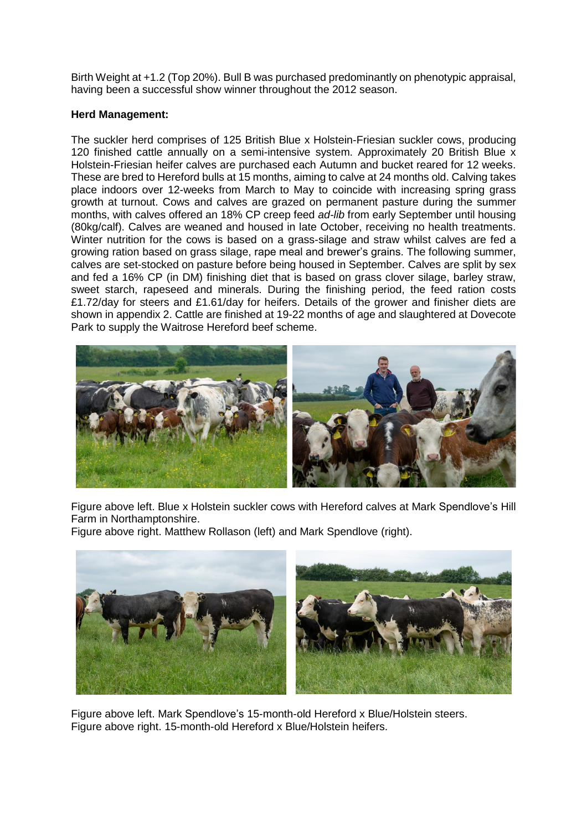Birth Weight at +1.2 (Top 20%). Bull B was purchased predominantly on phenotypic appraisal, having been a successful show winner throughout the 2012 season.

#### **Herd Management:**

The suckler herd comprises of 125 British Blue x Holstein-Friesian suckler cows, producing 120 finished cattle annually on a semi-intensive system. Approximately 20 British Blue x Holstein-Friesian heifer calves are purchased each Autumn and bucket reared for 12 weeks. These are bred to Hereford bulls at 15 months, aiming to calve at 24 months old. Calving takes place indoors over 12-weeks from March to May to coincide with increasing spring grass growth at turnout. Cows and calves are grazed on permanent pasture during the summer months, with calves offered an 18% CP creep feed *ad-lib* from early September until housing (80kg/calf). Calves are weaned and housed in late October, receiving no health treatments. Winter nutrition for the cows is based on a grass-silage and straw whilst calves are fed a growing ration based on grass silage, rape meal and brewer's grains. The following summer, calves are set-stocked on pasture before being housed in September. Calves are split by sex and fed a 16% CP (in DM) finishing diet that is based on grass clover silage, barley straw, sweet starch, rapeseed and minerals. During the finishing period, the feed ration costs £1.72/day for steers and £1.61/day for heifers. Details of the grower and finisher diets are shown in appendix 2. Cattle are finished at 19-22 months of age and slaughtered at Dovecote Park to supply the Waitrose Hereford beef scheme.



Figure above left. Blue x Holstein suckler cows with Hereford calves at Mark Spendlove's Hill Farm in Northamptonshire.

Figure above right. Matthew Rollason (left) and Mark Spendlove (right).



Figure above left. Mark Spendlove's 15-month-old Hereford x Blue/Holstein steers. Figure above right. 15-month-old Hereford x Blue/Holstein heifers.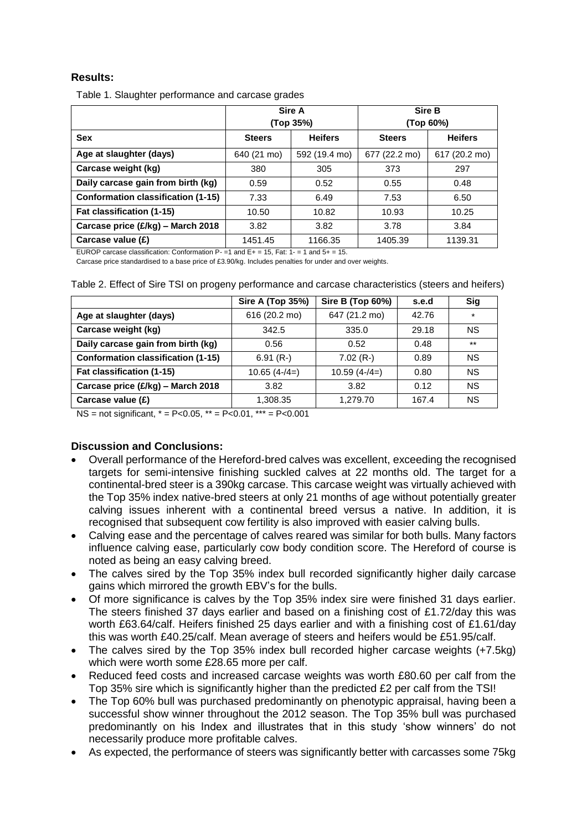## **Results:**

Table 1. Slaughter performance and carcase grades

|                                           | Sire A<br>(Top 35%) |                | Sire B<br>(Top 60%) |                |
|-------------------------------------------|---------------------|----------------|---------------------|----------------|
| <b>Sex</b>                                | <b>Steers</b>       | <b>Heifers</b> | <b>Steers</b>       | <b>Heifers</b> |
| Age at slaughter (days)                   | 640 (21 mo)         | 592 (19.4 mo)  | 677 (22.2 mo)       | 617 (20.2 mo)  |
| Carcase weight (kg)                       | 380                 | 305            | 373                 | 297            |
| Daily carcase gain from birth (kg)        | 0.59                | 0.52           | 0.55                | 0.48           |
| <b>Conformation classification (1-15)</b> | 7.33                | 6.49           | 7.53                | 6.50           |
| Fat classification (1-15)                 | 10.50               | 10.82          | 10.93               | 10.25          |
| Carcase price (£/kg) - March 2018         | 3.82                | 3.82           | 3.78                | 3.84           |
| Carcase value (£)                         | 1451.45             | 1166.35        | 1405.39             | 1139.31        |

EUROP carcase classification: Conformation  $P = 1$  and  $E += 15$ , Fat:  $1 = 1$  and  $5 += 15$ .

Carcase price standardised to a base price of £3.90/kg. Includes penalties for under and over weights.

|                                           | <b>Sire A (Top 35%)</b> | Sire B (Top 60%) | s.e.d | Sig       |
|-------------------------------------------|-------------------------|------------------|-------|-----------|
| Age at slaughter (days)                   | 616 (20.2 mo)           | 647 (21.2 mo)    | 42.76 | $\star$   |
| Carcase weight (kg)                       | 342.5                   | 335.0            | 29.18 | ΝS        |
| Daily carcase gain from birth (kg)        | 0.56                    | 0.52             | 0.48  | $***$     |
| <b>Conformation classification (1-15)</b> | $6.91(R-)$              | $7.02(R-)$       | 0.89  | ΝS        |
| Fat classification (1-15)                 | $10.65(4-4=)$           | $10.59(4-4=)$    | 0.80  | ΝS        |
| Carcase price (£/kg) - March 2018         | 3.82                    | 3.82             | 0.12  | <b>NS</b> |
| Carcase value (£)                         | 1,308.35                | 1,279.70         | 167.4 | <b>NS</b> |

Table 2. Effect of Sire TSI on progeny performance and carcase characteristics (steers and heifers)

NS = not significant,  $* = P < 0.05$ ,  $* = P < 0.01$ ,  $* * = P < 0.001$ 

#### **Discussion and Conclusions:**

- Overall performance of the Hereford-bred calves was excellent, exceeding the recognised targets for semi-intensive finishing suckled calves at 22 months old. The target for a continental-bred steer is a 390kg carcase. This carcase weight was virtually achieved with the Top 35% index native-bred steers at only 21 months of age without potentially greater calving issues inherent with a continental breed versus a native. In addition, it is recognised that subsequent cow fertility is also improved with easier calving bulls.
- Calving ease and the percentage of calves reared was similar for both bulls. Many factors influence calving ease, particularly cow body condition score. The Hereford of course is noted as being an easy calving breed.
- The calves sired by the Top 35% index bull recorded significantly higher daily carcase gains which mirrored the growth EBV's for the bulls.
- Of more significance is calves by the Top 35% index sire were finished 31 days earlier. The steers finished 37 days earlier and based on a finishing cost of £1.72/day this was worth £63.64/calf. Heifers finished 25 days earlier and with a finishing cost of £1.61/day this was worth £40.25/calf. Mean average of steers and heifers would be £51.95/calf.
- The calves sired by the Top 35% index bull recorded higher carcase weights (+7.5kg) which were worth some £28.65 more per calf.
- Reduced feed costs and increased carcase weights was worth £80.60 per calf from the Top 35% sire which is significantly higher than the predicted £2 per calf from the TSI!
- The Top 60% bull was purchased predominantly on phenotypic appraisal, having been a successful show winner throughout the 2012 season. The Top 35% bull was purchased predominantly on his Index and illustrates that in this study 'show winners' do not necessarily produce more profitable calves.
- As expected, the performance of steers was significantly better with carcasses some 75kg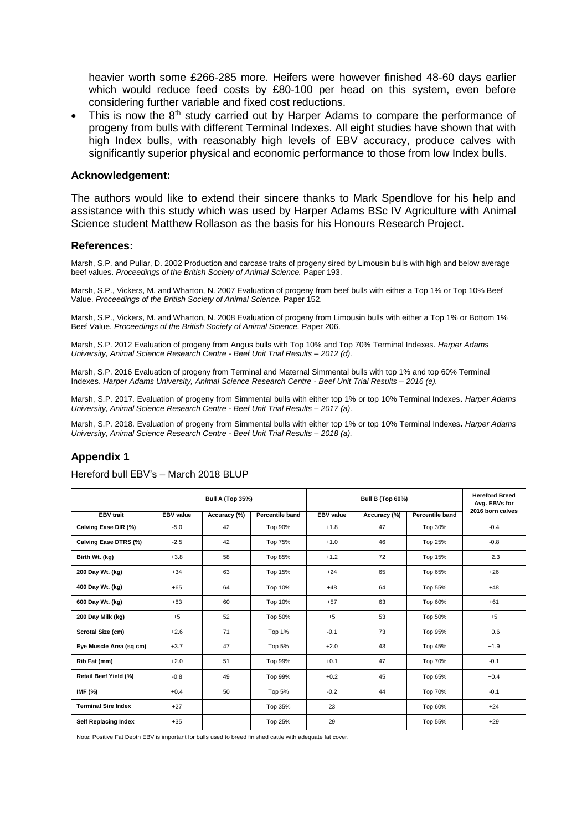heavier worth some £266-285 more. Heifers were however finished 48-60 days earlier which would reduce feed costs by £80-100 per head on this system, even before considering further variable and fixed cost reductions.

This is now the  $8<sup>th</sup>$  study carried out by Harper Adams to compare the performance of progeny from bulls with different Terminal Indexes. All eight studies have shown that with high Index bulls, with reasonably high levels of EBV accuracy, produce calves with significantly superior physical and economic performance to those from low Index bulls.

#### **Acknowledgement:**

The authors would like to extend their sincere thanks to Mark Spendlove for his help and assistance with this study which was used by Harper Adams BSc IV Agriculture with Animal Science student Matthew Rollason as the basis for his Honours Research Project.

#### **References:**

Marsh, S.P. and Pullar, D. 2002 Production and carcase traits of progeny sired by Limousin bulls with high and below average beef values. *Proceedings of the British Society of Animal Science.* Paper 193.

Marsh, S.P., Vickers, M. and Wharton, N. 2007 Evaluation of progeny from beef bulls with either a Top 1% or Top 10% Beef Value. *Proceedings of the British Society of Animal Science.* Paper 152.

Marsh, S.P., Vickers, M. and Wharton, N. 2008 Evaluation of progeny from Limousin bulls with either a Top 1% or Bottom 1% Beef Value. *Proceedings of the British Society of Animal Science.* Paper 206.

Marsh, S.P. 2012 Evaluation of progeny from Angus bulls with Top 10% and Top 70% Terminal Indexes. *Harper Adams University, Animal Science Research Centre - Beef Unit Trial Results – 2012 (d).*

Marsh, S.P. 2016 Evaluation of progeny from Terminal and Maternal Simmental bulls with top 1% and top 60% Terminal Indexes. *Harper Adams University, Animal Science Research Centre - Beef Unit Trial Results – 2016 (e).* 

Marsh, S.P. 2017. Evaluation of progeny from Simmental bulls with either top 1% or top 10% Terminal Indexes**.** *Harper Adams University, Animal Science Research Centre - Beef Unit Trial Results – 2017 (a).*

Marsh, S.P. 2018. Evaluation of progeny from Simmental bulls with either top 1% or top 10% Terminal Indexes**.** *Harper Adams University, Animal Science Research Centre - Beef Unit Trial Results – 2018 (a).*

#### **Appendix 1**

|                             | <b>Bull A (Top 35%)</b><br><b>Bull B (Top 60%)</b> |              |                        | <b>Hereford Breed</b><br>Avg. EBVs for |              |                        |                  |
|-----------------------------|----------------------------------------------------|--------------|------------------------|----------------------------------------|--------------|------------------------|------------------|
| <b>EBV</b> trait            | <b>EBV</b> value                                   | Accuracy (%) | <b>Percentile band</b> | <b>EBV</b> value                       | Accuracy (%) | <b>Percentile band</b> | 2016 born calves |
| Calving Ease DIR (%)        | $-5.0$                                             | 42           | Top 90%                | $+1.8$                                 | 47           | Top 30%                | $-0.4$           |
| Calving Ease DTRS (%)       | $-2.5$                                             | 42           | Top 75%                | $+1.0$                                 | 46           | Top 25%                | $-0.8$           |
| Birth Wt. (kg)              | $+3.8$                                             | 58           | Top 85%                | $+1.2$                                 | 72           | Top 15%                | $+2.3$           |
| 200 Day Wt. (kg)            | $+34$                                              | 63           | Top 15%                | $+24$                                  | 65           | Top 65%                | $+26$            |
| 400 Day Wt. (kg)            | $+65$                                              | 64           | Top 10%                | $+48$                                  | 64           | Top 55%                | $+48$            |
| 600 Day Wt. (kg)            | $+83$                                              | 60           | Top 10%                | $+57$                                  | 63           | Top 60%                | $+61$            |
| 200 Day Milk (kg)           | $+5$                                               | 52           | Top 50%                | $+5$                                   | 53           | Top 50%                | $+5$             |
| Scrotal Size (cm)           | $+2.6$                                             | 71           | Top 1%                 | $-0.1$                                 | 73           | Top 95%                | $+0.6$           |
| Eye Muscle Area (sq cm)     | $+3.7$                                             | 47           | <b>Top 5%</b>          | $+2.0$                                 | 43           | Top 45%                | $+1.9$           |
| Rib Fat (mm)                | $+2.0$                                             | 51           | Top 99%                | $+0.1$                                 | 47           | Top 70%                | $-0.1$           |
| Retail Beef Yield (%)       | $-0.8$                                             | 49           | Top 99%                | $+0.2$                                 | 45           | Top 65%                | $+0.4$           |
| IMF (%)                     | $+0.4$                                             | 50           | <b>Top 5%</b>          | $-0.2$                                 | 44           | Top 70%                | $-0.1$           |
| <b>Terminal Sire Index</b>  | $+27$                                              |              | Top 35%                | 23                                     |              | Top 60%                | $+24$            |
| <b>Self Replacing Index</b> | $+35$                                              |              | Top 25%                | 29                                     |              | Top 55%                | $+29$            |

#### Hereford bull EBV's – March 2018 BLUP

Note: Positive Fat Depth EBV is important for bulls used to breed finished cattle with adequate fat cover.